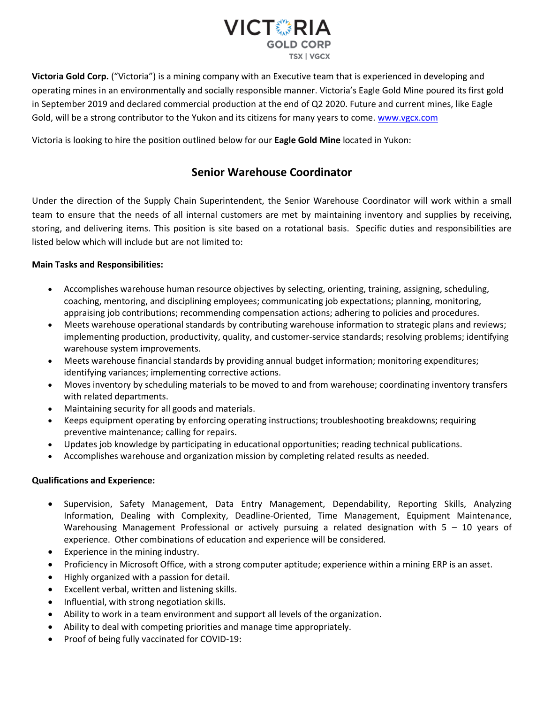

**Victoria Gold Corp.** ("Victoria") is a mining company with an Executive team that is experienced in developing and operating mines in an environmentally and socially responsible manner. Victoria's Eagle Gold Mine poured its first gold in September 2019 and declared commercial production at the end of Q2 2020. Future and current mines, like Eagle Gold, will be a strong contributor to the Yukon and its citizens for many years to come. [www.vgcx.com](http://www.vgcx.com/)

Victoria is looking to hire the position outlined below for our **Eagle Gold Mine** located in Yukon:

## **Senior Warehouse Coordinator**

Under the direction of the Supply Chain Superintendent, the Senior Warehouse Coordinator will work within a small team to ensure that the needs of all internal customers are met by maintaining inventory and supplies by receiving, storing, and delivering items. This position is site based on a rotational basis. Specific duties and responsibilities are listed below which will include but are not limited to:

## **Main Tasks and Responsibilities:**

- Accomplishes warehouse human resource objectives by selecting, orienting, training, assigning, scheduling, coaching, mentoring, and disciplining employees; communicating job expectations; planning, monitoring, appraising job contributions; recommending compensation actions; adhering to policies and procedures.
- Meets warehouse operational standards by contributing warehouse information to strategic plans and reviews; implementing production, productivity, quality, and customer-service standards; resolving problems; identifying warehouse system improvements.
- Meets warehouse financial standards by providing annual budget information; monitoring expenditures; identifying variances; implementing corrective actions.
- Moves inventory by scheduling materials to be moved to and from warehouse; coordinating inventory transfers with related departments.
- Maintaining security for all goods and materials.
- Keeps equipment operating by enforcing operating instructions; troubleshooting breakdowns; requiring preventive maintenance; calling for repairs.
- Updates job knowledge by participating in educational opportunities; reading technical publications.
- Accomplishes warehouse and organization mission by completing related results as needed.

## **Qualifications and Experience:**

- Supervision, Safety Management, Data Entry Management, Dependability, Reporting Skills, Analyzing Information, Dealing with Complexity, Deadline-Oriented, Time Management, Equipment Maintenance, Warehousing Management Professional or actively pursuing a related designation with 5 – 10 years of experience. Other combinations of education and experience will be considered.
- Experience in the mining industry.
- Proficiency in Microsoft Office, with a strong computer aptitude; experience within a mining ERP is an asset.
- Highly organized with a passion for detail.
- Excellent verbal, written and listening skills.
- Influential, with strong negotiation skills.
- Ability to work in a team environment and support all levels of the organization.
- Ability to deal with competing priorities and manage time appropriately.
- Proof of being fully vaccinated for COVID-19: